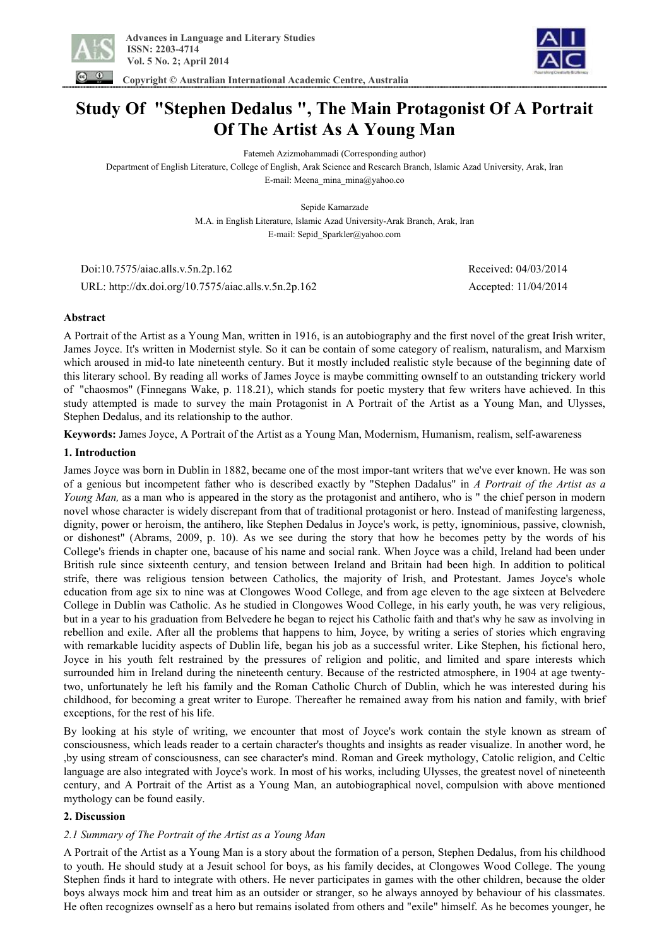

 **Copyright © Australian International Academic Centre, Australia** 



# **Study Of "Stephen Dedalus " , The Main Protagonist Of A Portrait Of The Artist As A Young Man**

Fatemeh Azizmohammadi (Corresponding author)

Department of English Literature, College of English, Arak Science and Research Branch, Islamic Azad University, Arak, Iran E-mail: Meena\_mina\_mina@yahoo.co

Sepide Kamarzade

M.A. in English Literature, Islamic Azad University-Arak Branch, Arak, Iran E-mail: Sepid\_Sparkler@yahoo.com

 Doi:10.7575/aiac.alls.v.5n.2p.162 Received: 04/03/2014 URL: http://dx.doi.org/10.7575/aiac.alls.v.5n.2p.162 Accepted: 11/04/2014

## **Abstract**

A Portrait of the Artist as a Young Man, written in 1916, is an autobiography and the first novel of the great Irish writer, James Joyce. It's written in Modernist style. So it can be contain of some category of realism, naturalism, and Marxism which aroused in mid-to late nineteenth century. But it mostly included realistic style because of the beginning date of this literary school. By reading all works of James Joyce is maybe committing ownself to an outstanding trickery world of "chaosmos" (Finnegans Wake, p. 118.21), which stands for poetic mystery that few writers have achieved. In this study attempted is made to survey the main Protagonist in A Portrait of the Artist as a Young Man, and Ulysses, Stephen Dedalus, and its relationship to the author.

**Keywords:** James Joyce, A Portrait of the Artist as a Young Man, Modernism, Humanism, realism, self-awareness

## **1. Introduction**

James Joyce was born in Dublin in 1882, became one of the most impor-tant writers that we've ever known. He was son of a genious but incompetent father who is described exactly by "Stephen Dadalus" in *A Portrait of the Artist as a Young Man,* as a man who is appeared in the story as the protagonist and antihero, who is " the chief person in modern novel whose character is widely discrepant from that of traditional protagonist or hero. Instead of manifesting largeness, dignity, power or heroism, the antihero, like Stephen Dedalus in Joyce's work, is petty, ignominious, passive, clownish, or dishonest" (Abrams, 2009, p. 10). As we see during the story that how he becomes petty by the words of his College's friends in chapter one, bacause of his name and social rank. When Joyce was a child, Ireland had been under British rule since sixteenth century, and tension between Ireland and Britain had been high. In addition to political strife, there was religious tension between Catholics, the majority of Irish, and Protestant. James Joyce's whole education from age six to nine was at Clongowes Wood College, and from age eleven to the age sixteen at Belvedere College in Dublin was Catholic. As he studied in Clongowes Wood College, in his early youth, he was very religious, but in a year to his graduation from Belvedere he began to reject his Catholic faith and that's why he saw as involving in rebellion and exile. After all the problems that happens to him, Joyce, by writing a series of stories which engraving with remarkable lucidity aspects of Dublin life, began his job as a successful writer. Like Stephen, his fictional hero, Joyce in his youth felt restrained by the pressures of religion and politic, and limited and spare interests which surrounded him in Ireland during the nineteenth century. Because of the restricted atmosphere, in 1904 at age twentytwo, unfortunately he left his family and the Roman Catholic Church of Dublin, which he was interested during his childhood, for becoming a great writer to Europe. Thereafter he remained away from his nation and family, with brief exceptions, for the rest of his life.

By looking at his style of writing, we encounter that most of Joyce's work contain the style known as stream of consciousness, which leads reader to a certain character's thoughts and insights as reader visualize. In another word, he ,by using stream of consciousness, can see character's mind. Roman and Greek mythology, Catolic religion, and Celtic language are also integrated with Joyce's work. In most of his works, including Ulysses, the greatest novel of nineteenth century, and A Portrait of the Artist as a Young Man, an autobiographical novel, compulsion with above mentioned mythology can be found easily.

# **2. Discussion**

# *2.1 Summary of The Portrait of the Artist as a Young Man*

A Portrait of the Artist as a Young Man is a story about the formation of a person, Stephen Dedalus, from his childhood to youth. He should study at a Jesuit school for boys, as his family decides, at Clongowes Wood College. The young Stephen finds it hard to integrate with others. He never participates in games with the other children, because the older boys always mock him and treat him as an outsider or stranger, so he always annoyed by behaviour of his classmates. He often recognizes ownself as a hero but remains isolated from others and "exile" himself. As he becomes younger, he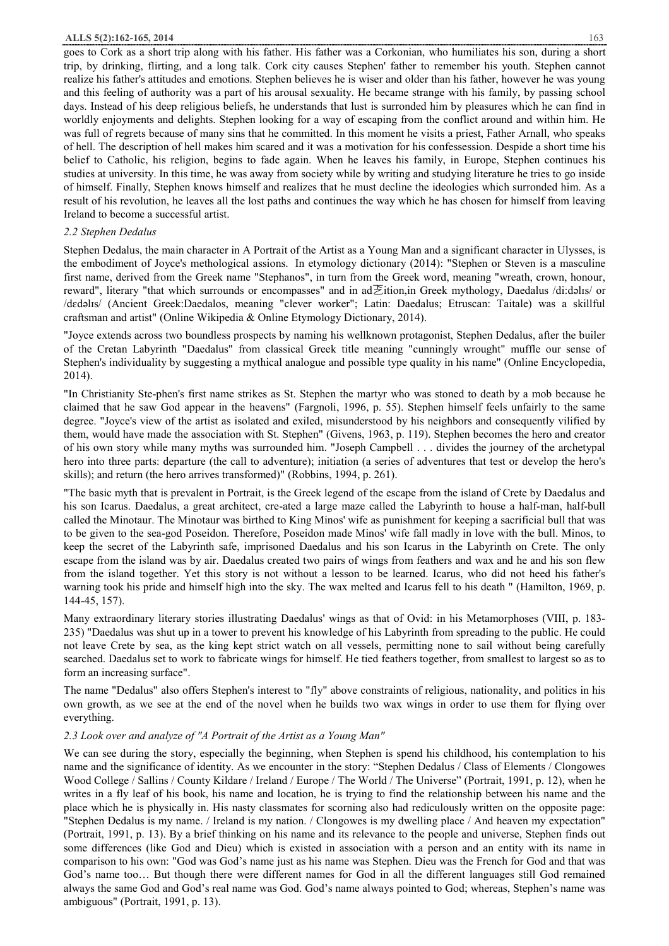goes to Cork as a short trip along with his father. His father was a Corkonian, who humiliates his son, during a short trip, by drinking, flirting, and a long talk. Cork city causes Stephen' father to remember his youth. Stephen cannot realize his father's attitudes and emotions. Stephen believes he is wiser and older than his father, however he was young and this feeling of authority was a part of his arousal sexuality. He became strange with his family, by passing school days. Instead of his deep religious beliefs, he understands that lust is surronded him by pleasures which he can find in worldly enjoyments and delights. Stephen looking for a way of escaping from the conflict around and within him. He was full of regrets because of many sins that he committed. In this moment he visits a priest, Father Arnall, who speaks of hell. The description of hell makes him scared and it was a motivation for his confessession. Despide a short time his belief to Catholic, his religion, begins to fade again. When he leaves his family, in Europe, Stephen continues his studies at university. In this time, he was away from society while by writing and studying literature he tries to go inside of himself. Finally, Stephen knows himself and realizes that he must decline the ideologies which surronded him. As a result of his revolution, he leaves all the lost paths and continues the way which he has chosen for himself from leaving Ireland to become a successful artist.

#### *2.2 Stephen Dedalus*

Stephen Dedalus, the main character in A Portrait of the Artist as a Young Man and a significant character in Ulysses, is the embodiment of Joyce's methological assions. In etymology dictionary (2014): "Stephen or Steven is a masculine first name, derived from the Greek name "Stephanos", in turn from the Greek word, meaning "wreath, crown, honour, reward", literary "that which surrounds or encompasses" and in ad乤ition,in Greek mythology, Daedalus /di:dəlɪs/ or /dɛdəlɪs/ (Ancient Greek:Daedalos, meaning "clever worker"; Latin: Daedalus; Etruscan: Taitale) was a skillful craftsman and artist" (Online Wikipedia & Online Etymology Dictionary, 2014).

"Joyce extends across two boundless prospects by naming his wellknown protagonist, Stephen Dedalus, after the builer of the Cretan Labyrinth "Daedalus" from classical Greek title meaning "cunningly wrought" muffle our sense of Stephen's individuality by suggesting a mythical analogue and possible type quality in his name" (Online Encyclopedia, 2014).

"In Christianity Ste-phen's first name strikes as St. Stephen the martyr who was stoned to death by a mob because he claimed that he saw God appear in the heavens" (Fargnoli, 1996, p. 55). Stephen himself feels unfairly to the same degree. "Joyce's view of the artist as isolated and exiled, misunderstood by his neighbors and consequently vilified by them, would have made the association with St. Stephen" (Givens, 1963, p. 119). Stephen becomes the hero and creator of his own story while many myths was surrounded him. "Joseph Campbell . . . divides the journey of the archetypal hero into three parts: departure (the call to adventure); initiation (a series of adventures that test or develop the hero's skills); and return (the hero arrives transformed)" (Robbins, 1994, p. 261).

"The basic myth that is prevalent in Portrait, is the Greek legend of the escape from the island of Crete by Daedalus and his son Icarus. Daedalus, a great architect, cre-ated a large maze called the Labyrinth to house a half-man, half-bull called the Minotaur. The Minotaur was birthed to King Minos' wife as punishment for keeping a sacrificial bull that was to be given to the sea-god Poseidon. Therefore, Poseidon made Minos' wife fall madly in love with the bull. Minos, to keep the secret of the Labyrinth safe, imprisoned Daedalus and his son Icarus in the Labyrinth on Crete. The only escape from the island was by air. Daedalus created two pairs of wings from feathers and wax and he and his son flew from the island together. Yet this story is not without a lesson to be learned. Icarus, who did not heed his father's warning took his pride and himself high into the sky. The wax melted and Icarus fell to his death " (Hamilton, 1969, p. 144-45, 157).

Many extraordinary literary stories illustrating Daedalus' wings as that of Ovid: in his Metamorphoses (VIII, p. 183- 235) "Daedalus was shut up in a tower to prevent his knowledge of his Labyrinth from spreading to the public. He could not leave Crete by sea, as the king kept strict watch on all vessels, permitting none to sail without being carefully searched. Daedalus set to work to fabricate wings for himself. He tied feathers together, from smallest to largest so as to form an increasing surface".

The name "Dedalus" also offers Stephen's interest to "fly" above constraints of religious, nationality, and politics in his own growth, as we see at the end of the novel when he builds two wax wings in order to use them for flying over everything.

#### *2.3 Look over and analyze of "A Portrait of the Artist as a Young Man"*

We can see during the story, especially the beginning, when Stephen is spend his childhood, his contemplation to his name and the significance of identity. As we encounter in the story: "Stephen Dedalus / Class of Elements / Clongowes Wood College / Sallins / County Kildare / Ireland / Europe / The World / The Universe" (Portrait, 1991, p. 12), when he writes in a fly leaf of his book, his name and location, he is trying to find the relationship between his name and the place which he is physically in. His nasty classmates for scorning also had rediculously written on the opposite page: "Stephen Dedalus is my name. / Ireland is my nation. / Clongowes is my dwelling place / And heaven my expectation" (Portrait, 1991, p. 13). By a brief thinking on his name and its relevance to the people and universe, Stephen finds out some differences (like God and Dieu) which is existed in association with a person and an entity with its name in comparison to his own: "God was God's name just as his name was Stephen. Dieu was the French for God and that was God's name too… But though there were different names for God in all the different languages still God remained always the same God and God's real name was God. God's name always pointed to God; whereas, Stephen's name was ambiguous" (Portrait, 1991, p. 13).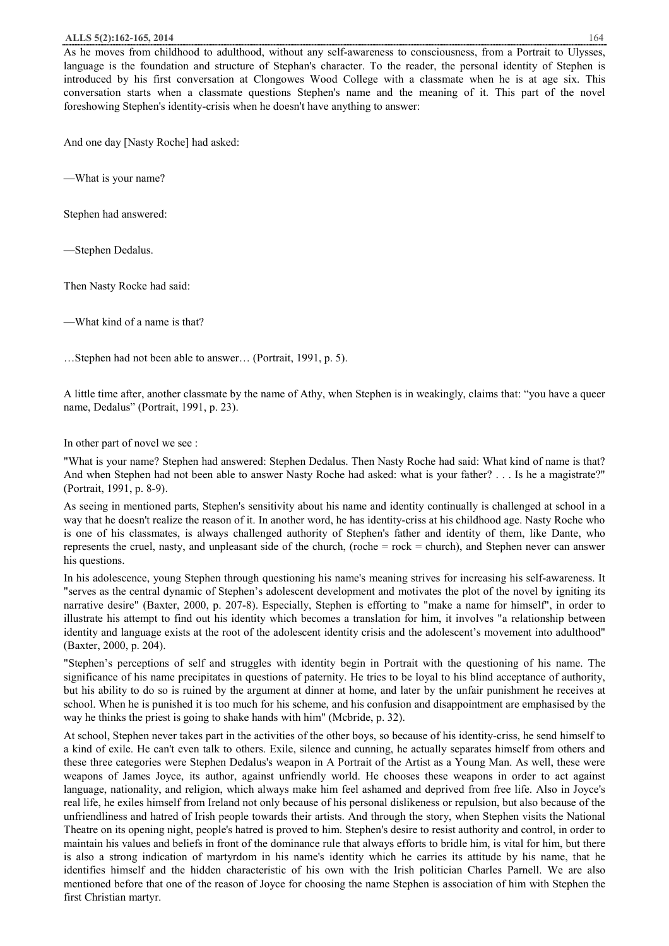#### **ALLS 5(2):162-165, 2014** 164

As he moves from childhood to adulthood, without any self-awareness to consciousness, from a Portrait to Ulysses, language is the foundation and structure of Stephan's character. To the reader, the personal identity of Stephen is introduced by his first conversation at Clongowes Wood College with a classmate when he is at age six. This conversation starts when a classmate questions Stephen's name and the meaning of it. This part of the novel foreshowing Stephen's identity-crisis when he doesn't have anything to answer:

And one day [Nasty Roche] had asked:

—What is your name?

Stephen had answered:

—Stephen Dedalus.

Then Nasty Rocke had said:

—What kind of a name is that?

…Stephen had not been able to answer… (Portrait, 1991, p. 5).

A little time after, another classmate by the name of Athy, when Stephen is in weakingly, claims that: "you have a queer name, Dedalus" (Portrait, 1991, p. 23).

In other part of novel we see :

"What is your name? Stephen had answered: Stephen Dedalus. Then Nasty Roche had said: What kind of name is that? And when Stephen had not been able to answer Nasty Roche had asked: what is your father? . . . Is he a magistrate?" (Portrait, 1991, p. 8-9).

As seeing in mentioned parts, Stephen's sensitivity about his name and identity continually is challenged at school in a way that he doesn't realize the reason of it. In another word, he has identity-criss at his childhood age. Nasty Roche who is one of his classmates, is always challenged authority of Stephen's father and identity of them, like Dante, who represents the cruel, nasty, and unpleasant side of the church, (roche = rock = church), and Stephen never can answer his questions.

In his adolescence, young Stephen through questioning his name's meaning strives for increasing his self-awareness. It "serves as the central dynamic of Stephen's adolescent development and motivates the plot of the novel by igniting its narrative desire" (Baxter, 2000, p. 207-8). Especially, Stephen is efforting to "make a name for himself", in order to illustrate his attempt to find out his identity which becomes a translation for him, it involves "a relationship between identity and language exists at the root of the adolescent identity crisis and the adolescent's movement into adulthood" (Baxter, 2000, p. 204).

"Stephen's perceptions of self and struggles with identity begin in Portrait with the questioning of his name. The significance of his name precipitates in questions of paternity. He tries to be loyal to his blind acceptance of authority, but his ability to do so is ruined by the argument at dinner at home, and later by the unfair punishment he receives at school. When he is punished it is too much for his scheme, and his confusion and disappointment are emphasised by the way he thinks the priest is going to shake hands with him" (Mcbride, p. 32).

At school, Stephen never takes part in the activities of the other boys, so because of his identity-criss, he send himself to a kind of exile. He can't even talk to others. Exile, silence and cunning, he actually separates himself from others and these three categories were Stephen Dedalus's weapon in A Portrait of the Artist as a Young Man. As well, these were weapons of James Joyce, its author, against unfriendly world. He chooses these weapons in order to act against language, nationality, and religion, which always make him feel ashamed and deprived from free life. Also in Joyce's real life, he exiles himself from Ireland not only because of his personal dislikeness or repulsion, but also because of the unfriendliness and hatred of Irish people towards their artists. And through the story, when Stephen visits the National Theatre on its opening night, people's hatred is proved to him. Stephen's desire to resist authority and control, in order to maintain his values and beliefs in front of the dominance rule that always efforts to bridle him, is vital for him, but there is also a strong indication of martyrdom in his name's identity which he carries its attitude by his name, that he identifies himself and the hidden characteristic of his own with the Irish politician Charles Parnell. We are also mentioned before that one of the reason of Joyce for choosing the name Stephen is association of him with Stephen the first Christian martyr.